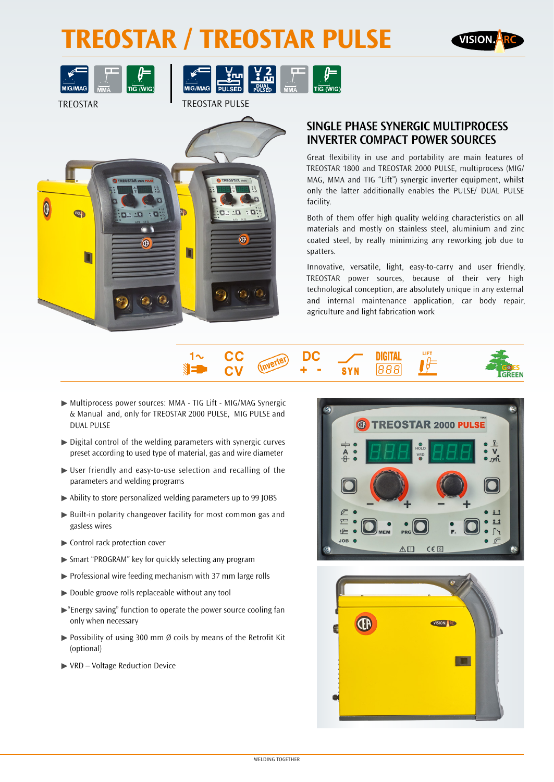## **TREOSTAR / TREOSTAR PULSE**





TREOSTAR TREOSTAR PULSE





### **SINGLE PHASE SYNERGIC MULTIPROCESS INVERTER COMPACT POWER SOURCES**

Great flexibility in use and portability are main features of TREOSTAR 1800 and TREOSTAR 2000 PULSE, multiprocess (MIG/ MAG, MMA and TIG "Lift") synergic inverter equipment, whilst only the latter additionally enables the PULSE/ DUAL PULSE facility.

Both of them offer high quality welding characteristics on all materials and mostly on stainless steel, aluminium and zinc coated steel, by really minimizing any reworking job due to spatters.

Innovative, versatile, light, easy-to-carry and user friendly, TREOSTAR power sources, because of their very high technological conception, are absolutely unique in any external and internal maintenance application, car body repair, agriculture and light fabrication work



- ▶ Multiprocess power sources: MMA TIG Lift MIG/MAG Synergic & Manual and, only for TREOSTAR 2000 PULSE, MIG PULSE and DUAL PULSE
- $\triangleright$  Digital control of the welding parameters with synergic curves preset according to used type of material, gas and wire diameter
- ▶ User friendly and easy-to-use selection and recalling of the parameters and welding programs
- $\triangleright$  Ability to store personalized welding parameters up to 99 JOBS
- $\blacktriangleright$  Built-in polarity changeover facility for most common gas and gasless wires
- ▶ Control rack protection cover
- ▶ Smart "PROGRAM" key for quickly selecting any program
- $\triangleright$  Professional wire feeding mechanism with 37 mm large rolls
- $\triangleright$  Double groove rolls replaceable without any tool
- $\blacktriangleright$  "Energy saving" function to operate the power source cooling fan only when necessary
- $\triangleright$  Possibility of using 300 mm Ø coils by means of the Retrofit Kit (optional)
- $\blacktriangleright$  VRD Voltage Reduction Device